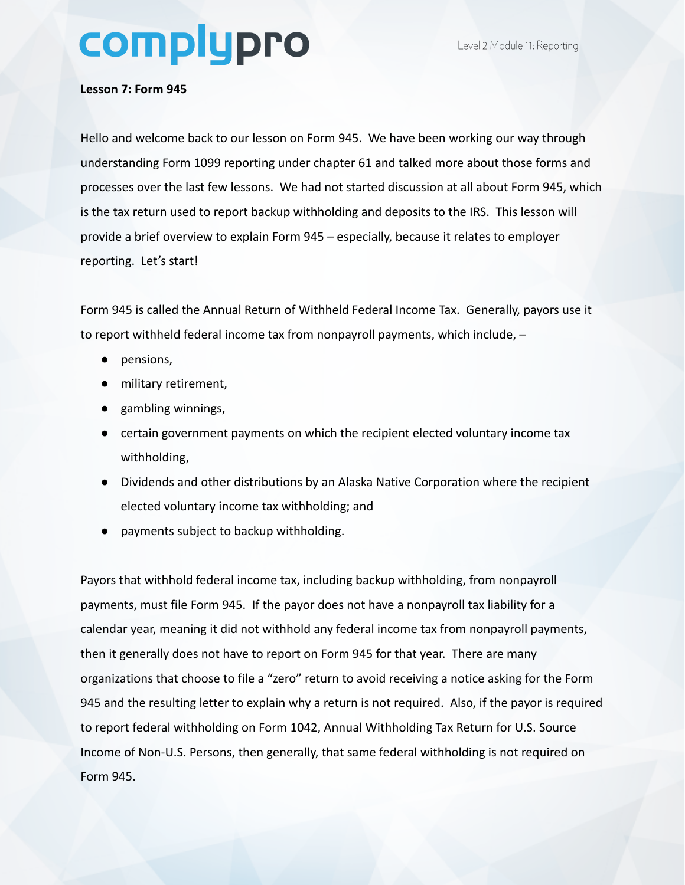## complypro

## **Lesson 7: Form 945**

Hello and welcome back to our lesson on Form 945. We have been working our way through understanding Form 1099 reporting under chapter 61 and talked more about those forms and processes over the last few lessons. We had not started discussion at all about Form 945, which is the tax return used to report backup withholding and deposits to the IRS. This lesson will provide a brief overview to explain Form 945 – especially, because it relates to employer reporting. Let's start!

Form 945 is called the Annual Return of Withheld Federal Income Tax. Generally, payors use it to report withheld federal income tax from nonpayroll payments, which include, –

- pensions,
- military retirement,
- gambling winnings,
- certain government payments on which the recipient elected voluntary income tax withholding,
- Dividends and other distributions by an Alaska Native Corporation where the recipient elected voluntary income tax withholding; and
- payments subject to backup withholding.

Payors that withhold federal income tax, including backup withholding, from nonpayroll payments, must file Form 945. If the payor does not have a nonpayroll tax liability for a calendar year, meaning it did not withhold any federal income tax from nonpayroll payments, then it generally does not have to report on Form 945 for that year. There are many organizations that choose to file a "zero" return to avoid receiving a notice asking for the Form 945 and the resulting letter to explain why a return is not required. Also, if the payor is required to report federal withholding on Form 1042, Annual Withholding Tax Return for U.S. Source Income of Non-U.S. Persons, then generally, that same federal withholding is not required on Form 945.